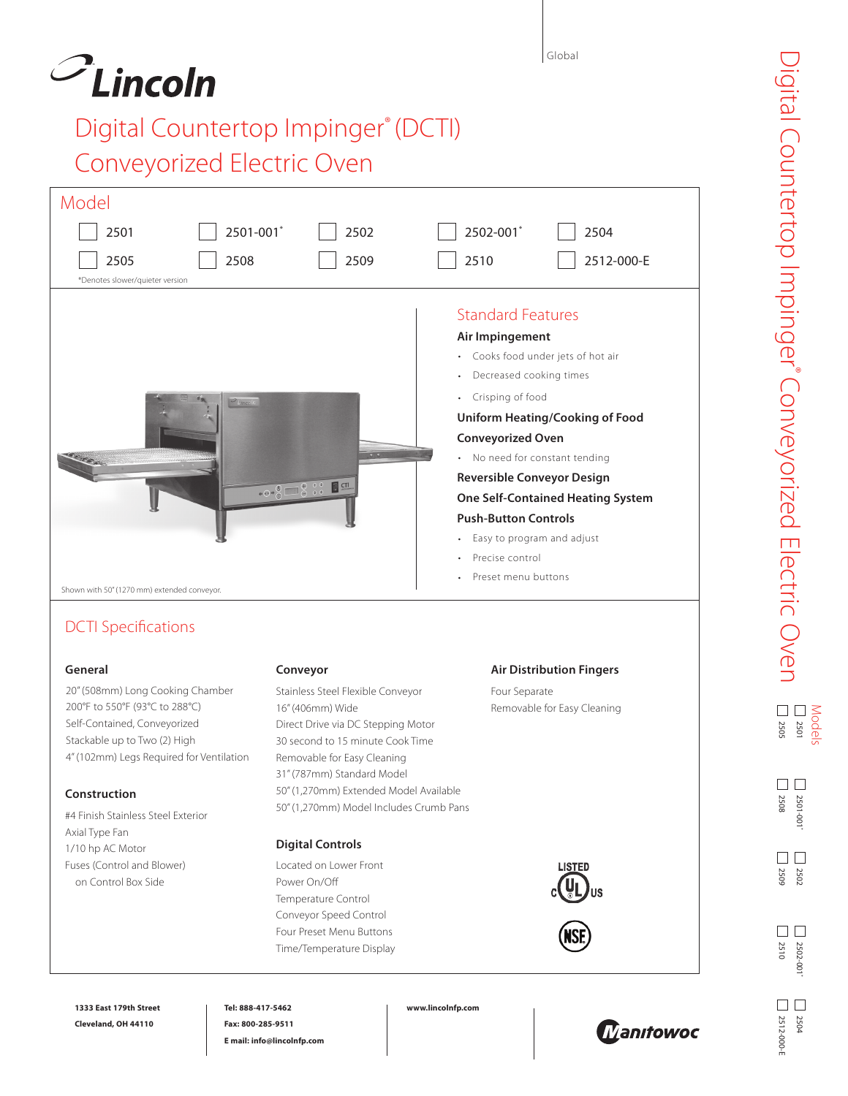## $\mathcal{O}_{\text{Lin}\text{-}\text{Coll}}$

## Digital Countertop Impinger® (DCTI) Conveyorized Electric Oven

| Model                                                                                                                                                                                     |                                                                                                                                                                                                          |                                                                                                                                                                                                                                                                                                                                                                                                                                |  |  |  |  |
|-------------------------------------------------------------------------------------------------------------------------------------------------------------------------------------------|----------------------------------------------------------------------------------------------------------------------------------------------------------------------------------------------------------|--------------------------------------------------------------------------------------------------------------------------------------------------------------------------------------------------------------------------------------------------------------------------------------------------------------------------------------------------------------------------------------------------------------------------------|--|--|--|--|
| 2501-001*<br>2501                                                                                                                                                                         | 2502                                                                                                                                                                                                     | 2502-001*<br>2504                                                                                                                                                                                                                                                                                                                                                                                                              |  |  |  |  |
| 2505<br>2508<br>*Denotes slower/quieter version                                                                                                                                           | 2509                                                                                                                                                                                                     | 2510<br>2512-000-E                                                                                                                                                                                                                                                                                                                                                                                                             |  |  |  |  |
| Shown with 50" (1270 mm) extended conveyor.                                                                                                                                               | $+ \Theta + \frac{1}{\Theta}$<br>$\sqrt{2}$ CTI                                                                                                                                                          | <b>Standard Features</b><br>Air Impingement<br>Cooks food under jets of hot air<br>Decreased cooking times<br>Crisping of food<br><b>Uniform Heating/Cooking of Food</b><br><b>Conveyorized Oven</b><br>• No need for constant tending<br><b>Reversible Conveyor Design</b><br><b>One Self-Contained Heating System</b><br><b>Push-Button Controls</b><br>Easy to program and adjust<br>Precise control<br>Preset menu buttons |  |  |  |  |
| <b>DCTI Specifications</b>                                                                                                                                                                |                                                                                                                                                                                                          |                                                                                                                                                                                                                                                                                                                                                                                                                                |  |  |  |  |
| General<br>20" (508mm) Long Cooking Chamber<br>200°F to 550°F (93°C to 288°C)<br>Self-Contained, Conveyorized<br>Stackable up to Two (2) High<br>4" (102mm) Legs Required for Ventilation | Conveyor<br>Stainless Steel Flexible Conveyor<br>16" (406mm) Wide<br>Direct Drive via DC Stepping Motor<br>30 second to 15 minute Cook Time<br>Removable for Easy Cleaning<br>31" (787mm) Standard Model | <b>Air Distribution Fingers</b><br>Four Separate<br>Removable for Easy Cleaning                                                                                                                                                                                                                                                                                                                                                |  |  |  |  |
| Construction                                                                                                                                                                              | 50" (1,270mm) Extended Model Available                                                                                                                                                                   |                                                                                                                                                                                                                                                                                                                                                                                                                                |  |  |  |  |
| #4 Finish Stainless Steel Exterior<br>Axial Type Fan<br>1/10 hp AC Motor                                                                                                                  | 50" (1,270mm) Model Includes Crumb Pans<br><b>Digital Controls</b>                                                                                                                                       |                                                                                                                                                                                                                                                                                                                                                                                                                                |  |  |  |  |
| Fuses (Control and Blower)<br>on Control Box Side                                                                                                                                         | Located on Lower Front<br>Power On/Off<br>Temperature Control<br>Conveyor Speed Control<br>Four Preset Menu Buttons<br>Time/Temperature Display                                                          | <b>LISTED</b>                                                                                                                                                                                                                                                                                                                                                                                                                  |  |  |  |  |

2501-001\*

2501-001

2508

 $\square$ <br/> $\square$ 

2509

2510

 $\square$ <br/> $\square$ 

2512-000-E

2512-000-E

2502

 $\square$ <br/> $\square$ 

2502-001\*

2502-001

2504

 $\square$ <br/> $\square$ 

**1333 East 179th Street Cleveland, OH 44110**

**Tel: 888-417-5462 Fax: 800-285-9511 E mail: info@lincolnfp.com** **www.lincolnfp.com**



Global